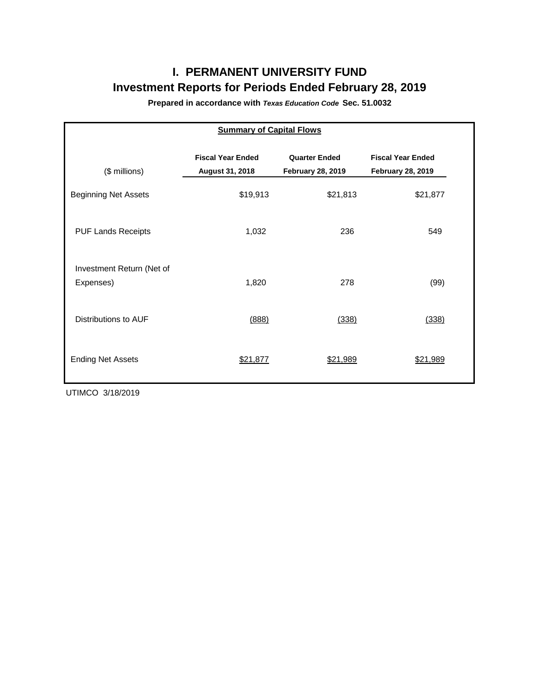# **I. PERMANENT UNIVERSITY FUND Investment Reports for Periods Ended February 28, 2019**

**Prepared in accordance with** *Texas Education Code* **Sec. 51.0032**

| <b>Summary of Capital Flows</b>        |                                             |                                                  |                                                      |  |  |  |  |  |  |  |
|----------------------------------------|---------------------------------------------|--------------------------------------------------|------------------------------------------------------|--|--|--|--|--|--|--|
| (\$ millions)                          | <b>Fiscal Year Ended</b><br>August 31, 2018 | <b>Quarter Ended</b><br><b>February 28, 2019</b> | <b>Fiscal Year Ended</b><br><b>February 28, 2019</b> |  |  |  |  |  |  |  |
| <b>Beginning Net Assets</b>            | \$19,913                                    | \$21,813                                         | \$21,877                                             |  |  |  |  |  |  |  |
| <b>PUF Lands Receipts</b>              | 1,032                                       | 236                                              | 549                                                  |  |  |  |  |  |  |  |
| Investment Return (Net of<br>Expenses) | 1,820                                       | 278                                              | (99)                                                 |  |  |  |  |  |  |  |
| Distributions to AUF                   | (888)                                       | (338)                                            | (338)                                                |  |  |  |  |  |  |  |
| <b>Ending Net Assets</b>               | \$21,877                                    | \$21,989                                         | \$21,989                                             |  |  |  |  |  |  |  |

UTIMCO 3/18/2019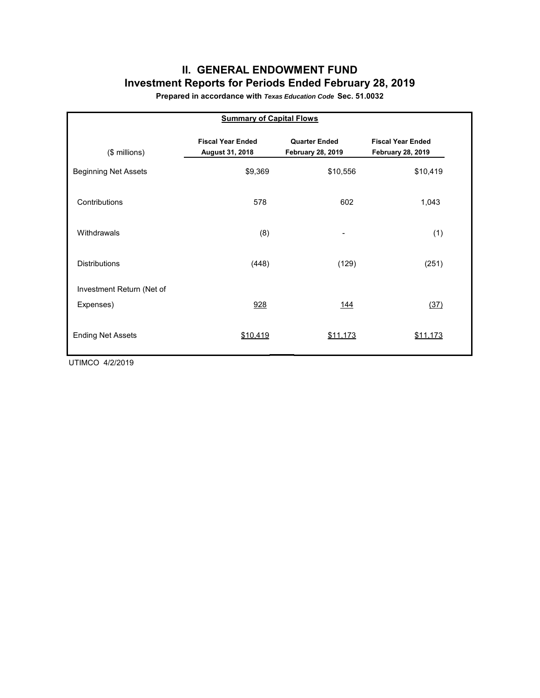## **II. GENERAL ENDOWMENT FUND Investment Reports for Periods Ended February 28, 2019**

**Prepared in accordance with** *Texas Education Code* **Sec. 51.0032**

| <b>Summary of Capital Flows</b> |                                             |                                                  |                                                      |  |  |  |  |  |  |  |
|---------------------------------|---------------------------------------------|--------------------------------------------------|------------------------------------------------------|--|--|--|--|--|--|--|
| (\$ millions)                   | <b>Fiscal Year Ended</b><br>August 31, 2018 | <b>Quarter Ended</b><br><b>February 28, 2019</b> | <b>Fiscal Year Ended</b><br><b>February 28, 2019</b> |  |  |  |  |  |  |  |
| <b>Beginning Net Assets</b>     | \$9,369                                     | \$10,556                                         | \$10,419                                             |  |  |  |  |  |  |  |
| Contributions                   | 578                                         | 602                                              | 1,043                                                |  |  |  |  |  |  |  |
| Withdrawals                     | (8)                                         | -                                                | (1)                                                  |  |  |  |  |  |  |  |
| <b>Distributions</b>            | (448)                                       | (129)                                            | (251)                                                |  |  |  |  |  |  |  |
| Investment Return (Net of       |                                             |                                                  |                                                      |  |  |  |  |  |  |  |
| Expenses)                       | 928                                         | <u> 144</u>                                      | (37)                                                 |  |  |  |  |  |  |  |
| <b>Ending Net Assets</b>        | \$10,419                                    | \$11,173                                         | \$11,173                                             |  |  |  |  |  |  |  |

UTIMCO 4/2/2019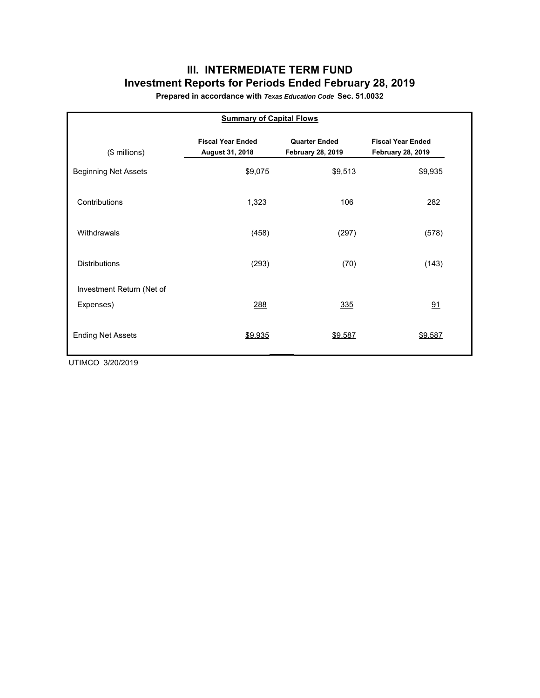## **III. INTERMEDIATE TERM FUND Investment Reports for Periods Ended February 28, 2019**

**Prepared in accordance with** *Texas Education Code* **Sec. 51.0032**

| <b>Summary of Capital Flows</b> |                                             |                                                  |                                                      |  |  |  |  |  |  |  |
|---------------------------------|---------------------------------------------|--------------------------------------------------|------------------------------------------------------|--|--|--|--|--|--|--|
| $($$ millions)                  | <b>Fiscal Year Ended</b><br>August 31, 2018 | <b>Quarter Ended</b><br><b>February 28, 2019</b> | <b>Fiscal Year Ended</b><br><b>February 28, 2019</b> |  |  |  |  |  |  |  |
| <b>Beginning Net Assets</b>     | \$9,075                                     | \$9,513                                          | \$9,935                                              |  |  |  |  |  |  |  |
| Contributions                   | 1,323                                       | 106                                              | 282                                                  |  |  |  |  |  |  |  |
| Withdrawals                     | (458)                                       | (297)                                            | (578)                                                |  |  |  |  |  |  |  |
| <b>Distributions</b>            | (293)                                       | (70)                                             | (143)                                                |  |  |  |  |  |  |  |
| Investment Return (Net of       |                                             |                                                  |                                                      |  |  |  |  |  |  |  |
| Expenses)                       | 288                                         | 335                                              | 91                                                   |  |  |  |  |  |  |  |
| <b>Ending Net Assets</b>        | \$9,935                                     | \$9,587                                          | \$9,587                                              |  |  |  |  |  |  |  |

UTIMCO 3/20/2019